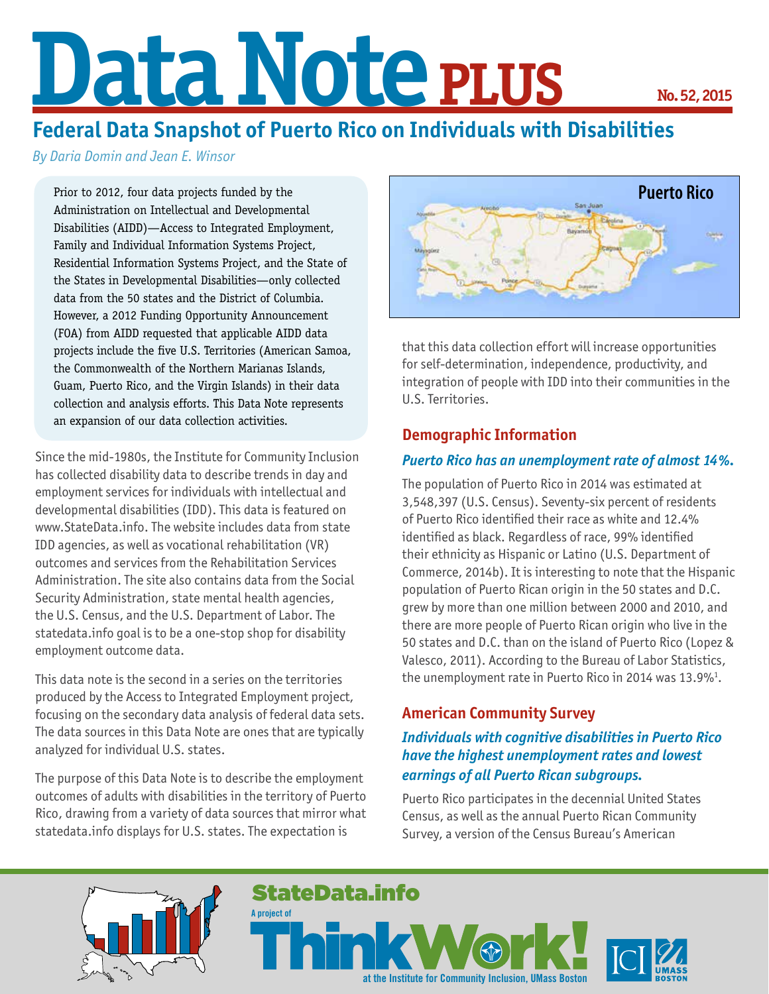# Data Note **PLUS**

## **Federal Data Snapshot of Puerto Rico on Individuals with Disabilities**

*By Daria Domin and Jean E. Winsor*

Prior to 2012, four data projects funded by the Administration on Intellectual and Developmental Disabilities (AIDD)—Access to Integrated Employment, Family and Individual Information Systems Project, Residential Information Systems Project, and the State of the States in Developmental Disabilities—only collected data from the 50 states and the District of Columbia. However, a 2012 Funding Opportunity Announcement (FOA) from AIDD requested that applicable AIDD data projects include the five U.S. Territories (American Samoa, the Commonwealth of the Northern Marianas Islands, Guam, Puerto Rico, and the Virgin Islands) in their data collection and analysis efforts. This Data Note represents an expansion of our data collection activities.

Since the mid-1980s, the Institute for Community Inclusion has collected disability data to describe trends in day and employment services for individuals with intellectual and developmental disabilities (IDD). This data is featured on www.StateData.info. The website includes data from state IDD agencies, as well as vocational rehabilitation (VR) outcomes and services from the Rehabilitation Services Administration. The site also contains data from the Social Security Administration, state mental health agencies, the U.S. Census, and the U.S. Department of Labor. The statedata.info goal is to be a one-stop shop for disability employment outcome data.

This data note is the second in a series on the territories produced by the Access to Integrated Employment project, focusing on the secondary data analysis of federal data sets. The data sources in this Data Note are ones that are typically analyzed for individual U.S. states.

The purpose of this Data Note is to describe the employment outcomes of adults with disabilities in the territory of Puerto Rico, drawing from a variety of data sources that mirror what statedata.info displays for U.S. states. The expectation is



that this data collection effort will increase opportunities for self-determination, independence, productivity, and integration of people with IDD into their communities in the U.S. Territories.

#### **Demographic Information**

#### *Puerto Rico has an unemployment rate of almost 14%.*

The population of Puerto Rico in 2014 was estimated at 3,548,397 (U.S. Census). Seventy-six percent of residents of Puerto Rico identified their race as white and 12.4% identified as black. Regardless of race, 99% identified their ethnicity as Hispanic or Latino (U.S. Department of Commerce, 2014b). It is interesting to note that the Hispanic population of Puerto Rican origin in the 50 states and D.C. grew by more than one million between 2000 and 2010, and there are more people of Puerto Rican origin who live in the 50 states and D.C. than on the island of Puerto Rico (Lopez & Valesco, 2011). According to the Bureau of Labor Statistics, the unemployment rate in Puerto Rico in 2014 was 13.9% $^1$ .

#### **American Community Survey**

#### *Individuals with cognitive disabilities in Puerto Rico have the highest unemployment rates and lowest earnings of all Puerto Rican subgroups.*

Puerto Rico participates in the decennial United States Census, as well as the annual Puerto Rican Community Survey, a version of the Census Bureau's American

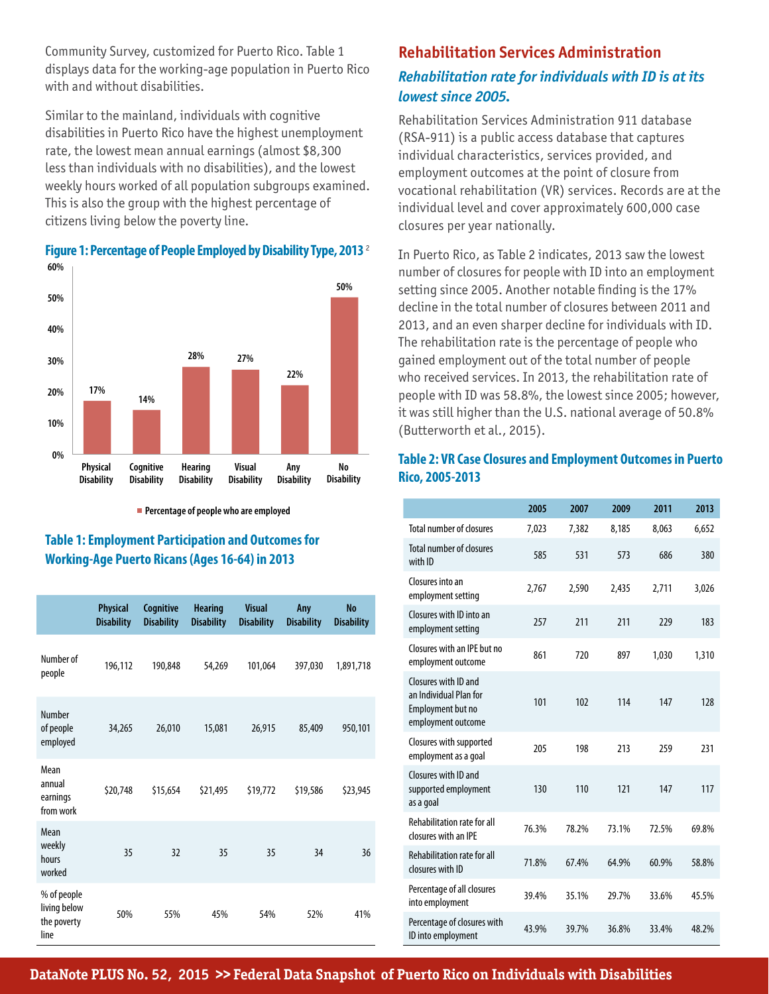Community Survey, customized for Puerto Rico. Table 1 displays data for the working-age population in Puerto Rico with and without disabilities.

Similar to the mainland, individuals with cognitive disabilities in Puerto Rico have the highest unemployment rate, the lowest mean annual earnings (almost \$8,300 less than individuals with no disabilities), and the lowest weekly hours worked of all population subgroups examined. This is also the group with the highest percentage of citizens living below the poverty line.



### **Figure 1: Percentage of People Employed by Disability Type, 2013** <sup>2</sup>

**Percentage of people who are employed** 

#### **Table 1: Employment Participation and Outcomes for Working-Age Puerto Ricans (Ages 16-64) in 2013**

|                                                    | <b>Physical</b><br><b>Disability</b> | Cognitive<br><b>Disability</b> | <b>Hearing</b><br><b>Disability</b> | <b>Visual</b><br><b>Disability</b> | Any<br><b>Disability</b> | <b>No</b><br><b>Disability</b> |
|----------------------------------------------------|--------------------------------------|--------------------------------|-------------------------------------|------------------------------------|--------------------------|--------------------------------|
| Number of<br>people                                | 196,112                              | 190,848                        | 54,269                              | 101,064                            | 397,030                  | 1,891,718                      |
| Number<br>of people<br>employed                    | 34,265                               | 26,010                         | 15,081                              | 26,915                             | 85,409                   | 950,101                        |
| Mean<br>annual<br>earnings<br>from work            | \$20,748                             | \$15,654                       | \$21,495                            | \$19,772                           | \$19,586                 | \$23,945                       |
| Mean<br>weekly<br>hours<br>worked                  | 35                                   | 32                             | 35                                  | 35                                 | 34                       | 36                             |
| % of people<br>living below<br>the poverty<br>line | 50%                                  | 55%                            | 45%                                 | 54%                                | 52%                      | 41%                            |

#### **Rehabilitation Services Administration** *Rehabilitation rate for individuals with ID is at its lowest since 2005.*

Rehabilitation Services Administration 911 database (RSA-911) is a public access database that captures individual characteristics, services provided, and employment outcomes at the point of closure from vocational rehabilitation (VR) services. Records are at the individual level and cover approximately 600,000 case closures per year nationally.

In Puerto Rico, as Table 2 indicates, 2013 saw the lowest number of closures for people with ID into an employment setting since 2005. Another notable finding is the 17% decline in the total number of closures between 2011 and 2013, and an even sharper decline for individuals with ID. The rehabilitation rate is the percentage of people who gained employment out of the total number of people who received services. In 2013, the rehabilitation rate of people with ID was 58.8%, the lowest since 2005; however, it was still higher than the U.S. national average of 50.8% (Butterworth et al., 2015).

#### **Table 2: VR Case Closures and Employment Outcomes in Puerto Rico, 2005-2013**

|                                                                                           | 2005  | 2007  | 2009  | 2011  | 2013  |
|-------------------------------------------------------------------------------------------|-------|-------|-------|-------|-------|
| <b>Total number of closures</b>                                                           | 7.023 | 7.382 | 8,185 | 8,063 | 6,652 |
| <b>Total number of closures</b><br>with ID                                                | 585   | 531   | 573   | 686   | 380   |
| Closures into an<br>employment setting                                                    | 2,767 | 2,590 | 2,435 | 2,711 | 3,026 |
| Closures with ID into an<br>employment setting                                            | 257   | 211   | 211   | 229   | 183   |
| Closures with an IPE but no<br>employment outcome                                         | 861   | 720   | 897   | 1,030 | 1,310 |
| Closures with ID and<br>an Individual Plan for<br>Employment but no<br>employment outcome | 101   | 102   | 114   | 147   | 128   |
| Closures with supported<br>employment as a goal                                           | 205   | 198   | 213   | 259   | 231   |
| Closures with ID and<br>supported employment<br>as a goal                                 | 130   | 110   | 121   | 147   | 117   |
| <b>Rehabilitation rate for all</b><br>closures with an IPE                                | 76.3% | 78.2% | 73.1% | 72.5% | 69.8% |
| <b>Rehabilitation rate for all</b><br>closures with ID                                    | 71.8% | 67.4% | 64.9% | 60.9% | 58.8% |
| Percentage of all closures<br>into employment                                             | 39.4% | 35.1% | 29.7% | 33.6% | 45.5% |
| Percentage of closures with<br>ID into employment                                         | 43.9% | 39.7% | 36.8% | 33.4% | 48.2% |

**DataNote PLUS No. 52, 2015 >> Federal Data Snapshot of Puerto Rico on Individuals with Disabilities**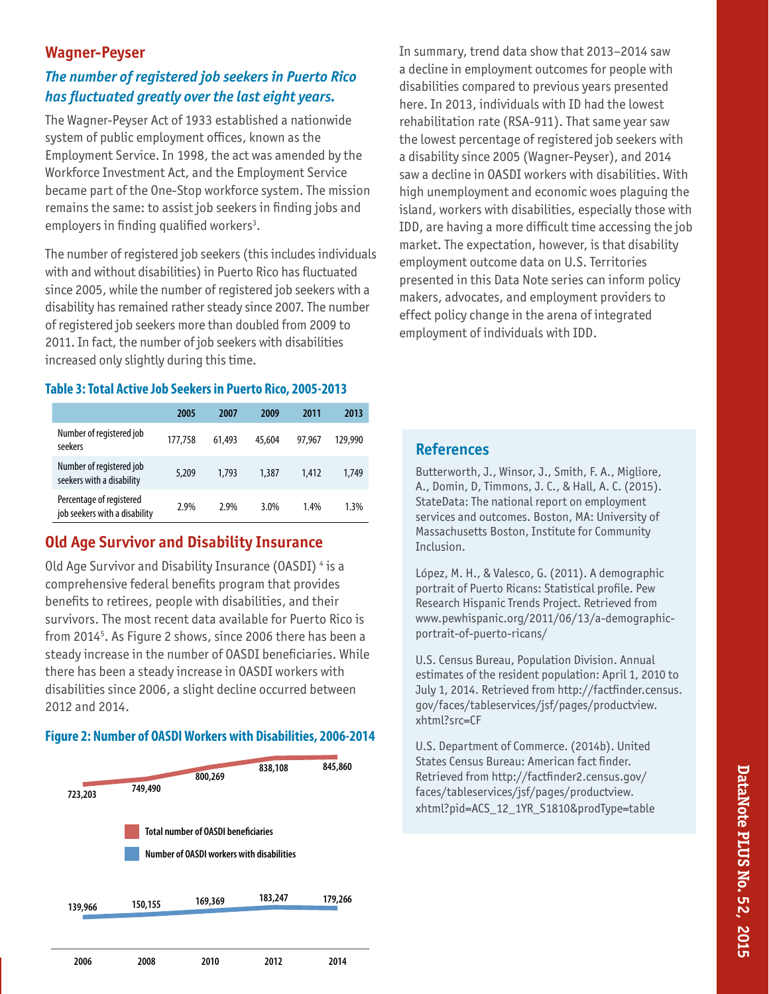#### **Wagner-Peyser**

### *The number of registered job seekers in Puerto Rico has fluctuated greatly over the last eight years.*

The Wagner-Peyser Act of 1933 established a nationwide system of public employment offices, known as the Employment Service. In 1998, the act was amended by the Workforce Investment Act, and the Employment Service became part of the One-Stop workforce system. The mission remains the same: to assist job seekers in finding jobs and employers in finding qualified workers<sup>3</sup>.

The number of registered job seekers (this includes individuals with and without disabilities) in Puerto Rico has fluctuated since 2005, while the number of registered job seekers with a disability has remained rather steady since 2007. The number of registered job seekers more than doubled from 2009 to 2011. In fact, the number of job seekers with disabilities increased only slightly during this time.

#### **Table 3: Total Active Job Seekers in Puerto Rico, 2005-2013**

|                                                           | 2005    | 2007   | 2009   | 2011   | 2013    |
|-----------------------------------------------------------|---------|--------|--------|--------|---------|
| Number of registered job<br>seekers                       | 177.758 | 61,493 | 45,604 | 97.967 | 129.990 |
| Number of registered job<br>seekers with a disability     | 5,209   | 1.793  | 1.387  | 1.412  | 1,749   |
| Percentage of registered<br>job seekers with a disability | 2.9%    | 2.9%   | 3.0%   | 1.4%   | 1.3%    |

#### **Old Age Survivor and Disability Insurance**

Old Age Survivor and Disability Insurance (OASDI) 4 is a comprehensive federal benefits program that provides benefits to retirees, people with disabilities, and their survivors. The most recent data available for Puerto Rico is from 2014<sup>5</sup>. As Figure 2 shows, since 2006 there has been a steady increase in the number of OASDI beneficiaries. While there has been a steady increase in OASDI workers with disabilities since 2006, a slight decline occurred between 2012 and 2014.

#### **Figure 2: Number of OASDI Workers with Disabilities, 2006-2014**



In summary, trend data show that 2013–2014 saw a decline in employment outcomes for people with disabilities compared to previous years presented here. In 2013, individuals with ID had the lowest rehabilitation rate (RSA-911). That same year saw the lowest percentage of registered job seekers with a disability since 2005 (Wagner-Peyser), and 2014 saw a decline in OASDI workers with disabilities. With high unemployment and economic woes plaguing the island, workers with disabilities, especially those with IDD, are having a more difficult time accessing the job market. The expectation, however, is that disability employment outcome data on U.S. Territories presented in this Data Note series can inform policy makers, advocates, and employment providers to effect policy change in the arena of integrated employment of individuals with IDD.

#### **References**

Butterworth, J., Winsor, J., Smith, F. A., Migliore, A., Domin, D, Timmons, J. C., & Hall, A. C. (2015). StateData: The national report on employment services and outcomes. Boston, MA: University of Massachusetts Boston, Institute for Community Inclusion.

López, M. H., & Valesco, G. (2011). A demographic portrait of Puerto Ricans: Statistical profile. Pew Research Hispanic Trends Project. Retrieved from www.pewhispanic.org/2011/06/13/a-demographicportrait-of-puerto-ricans/

U.S. Census Bureau, Population Division. Annual estimates of the resident population: April 1, 2010 to July 1, 2014. Retrieved from http://factfinder.census. gov/faces/tableservices/jsf/pages/productview. xhtml?src=CF

U.S. Department of Commerce. (2014b). United States Census Bureau: American fact finder. Retrieved from http://factfinder2.census.gov/ faces/tableservices/jsf/pages/productview. xhtml?pid=ACS\_12\_1YR\_S1810&prodType=table